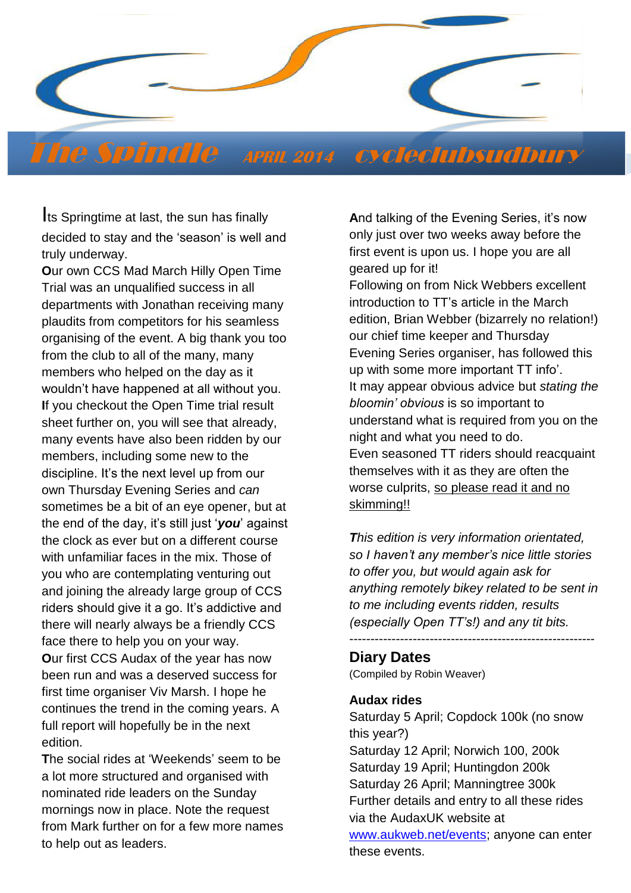

# The Spindle **APRIL <sup>2014</sup>** cycleclubsudbury

Its Springtime at last, the sun has finally decided to stay and the 'season' is well and truly underway.

 plaudits from competitors for his seamless **O**ur own CCS Mad March Hilly Open Time Trial was an unqualified success in all departments with Jonathan receiving many organising of the event. A big thank you too from the club to all of the many, many members who helped on the day as it wouldn't have happened at all without you. **I**f you checkout the Open Time trial result sheet further on, you will see that already, many events have also been ridden by our members, including some new to the discipline. It's the next level up from our own Thursday Evening Series and *can* sometimes be a bit of an eye opener, but at the end of the day, it's still just '*you*' against the clock as ever but on a different course with unfamiliar faces in the mix. Those of you who are contemplating venturing out and joining the already large group of CCS riders should give it a go. It's addictive and there will nearly always be a friendly CCS face there to help you on your way. **O**ur first CCS Audax of the year has now been run and was a deserved success for first time organiser Viv Marsh. I hope he continues the trend in the coming years. A full report will hopefully be in the next

edition. **T**he social rides at 'Weekends' seem to be

a lot more structured and organised with nominated ride leaders on the Sunday mornings now in place. Note the request from Mark further on for a few more names to help out as leaders.

**A**nd talking of the Evening Series, it's now only just over two weeks away before the first event is upon us. I hope you are all geared up for it!

Following on from Nick Webbers excellent introduction to TT's article in the March edition, Brian Webber (bizarrely no relation!) our chief time keeper and Thursday Evening Series organiser, has followed this up with some more important TT info'. It may appear obvious advice but *stating the bloomin' obvious* is so important to understand what is required from you on the night and what you need to do. Even seasoned TT riders should reacquaint themselves with it as they are often the worse culprits, so please read it and no skimming!!

*This edition is very information orientated, so I haven't any member's nice little stories to offer you, but would again ask for anything remotely bikey related to be sent in to me including events ridden, results (especially Open TT's!) and any tit bits.* ----------------------------------------------------------

**Diary Dates** 

(Compiled by Robin Weaver)

#### **Audax rides**

Saturday 5 April; Copdock 100k (no snow this year?) Saturday 12 April; Norwich 100, 200k Saturday 19 April; Huntingdon 200k Saturday 26 April; Manningtree 300k Further details and entry to all these rides via the AudaxUK website at [www.aukweb.net/events;](http://www.aukweb.net/events/) anyone can enter these events.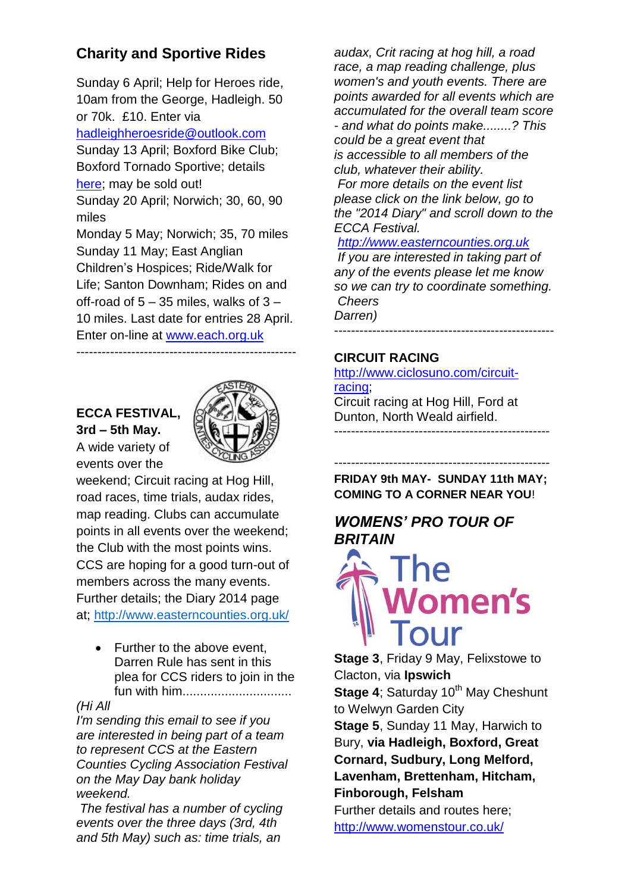# **Charity and Sportive Rides**

Sunday 6 April; Help for Heroes ride, 10am from the George, Hadleigh. 50 or 70k. £10. Enter via [hadleighheroesride@outlook.com](http://hadleighheroesride@outlook.com/) Sunday 13 April; Boxford Bike Club; Boxford Tornado Sportive; details [here;](http://www.facebook.com/l/KAQE9O4LJ/www.boxfordbikeclub.co.uk/the-boxford-tornado-grand-cycl) may be sold out! Sunday 20 April; Norwich; 30, 60, 90 miles Monday 5 May; Norwich; 35, 70 miles Sunday 11 May; East Anglian Children's Hospices; Ride/Walk for Life; Santon Downham; Rides on and off-road of  $5 - 35$  miles, walks of  $3 -$ 10 miles. Last date for entries 28 April. Enter on-line at [www.each.org.uk](http://www.each.org.uk/) ----------------------------------------------------

#### **ECCA FESTIVAL, 3rd – 5th May.**  A wide variety of events over the



weekend; Circuit racing at Hog Hill, road races, time trials, audax rides, map reading. Clubs can accumulate points in all events over the weekend; the Club with the most points wins. CCS are hoping for a good turn-out of members across the many events. Further details; the Diary 2014 page at;<http://www.easterncounties.org.uk/>

• Further to the above event. Darren Rule has sent in this plea for CCS riders to join in the fun with him...............................

#### *(Hi All*

*I'm sending this email to see if you are interested in being part of a team to represent CCS at the Eastern Counties Cycling Association Festival on the May Day bank holiday weekend.*

*The festival has a number of cycling events over the three days (3rd, 4th and 5th May) such as: time trials, an* 

*audax, Crit racing at hog hill, a road race, a map reading challenge, plus women's and youth events. There are points awarded for all events which are accumulated for the overall team score - and what do points make........? This could be a great event that is accessible to all members of the* 

*club, whatever their ability. For more details on the event list* 

*please click on the link below, go to the "2014 Diary" and scroll down to the ECCA Festival.*

#### *[http://www.easterncounties.org.uk](http://www.easterncounties.org.uk/)*

*If you are interested in taking part of any of the events please let me know so we can try to coordinate something. Cheers Darren)*

# ----------------------------------------------------

#### **CIRCUIT RACING**

[http://www.ciclosuno.com/circuit](http://www.ciclosuno.com/circuit-racing)[racing;](http://www.ciclosuno.com/circuit-racing) Circuit racing at Hog Hill, Ford at Dunton, North Weald airfield.

--------------------------------------------------- **FRIDAY 9th MAY- SUNDAY 11th MAY; COMING TO A CORNER NEAR YOU**!

---------------------------------------------------

# *WOMENS' PRO TOUR OF BRITAIN*



**Stage 3**, Friday 9 May, Felixstowe to Clacton, via **Ipswich Stage 4: Saturday 10<sup>th</sup> May Cheshunt** to Welwyn Garden City **Stage 5**, Sunday 11 May, Harwich to Bury, **via Hadleigh, Boxford, Great Cornard, Sudbury, Long Melford, Lavenham, Brettenham, Hitcham, Finborough, Felsham** Further details and routes here; <http://www.womenstour.co.uk/>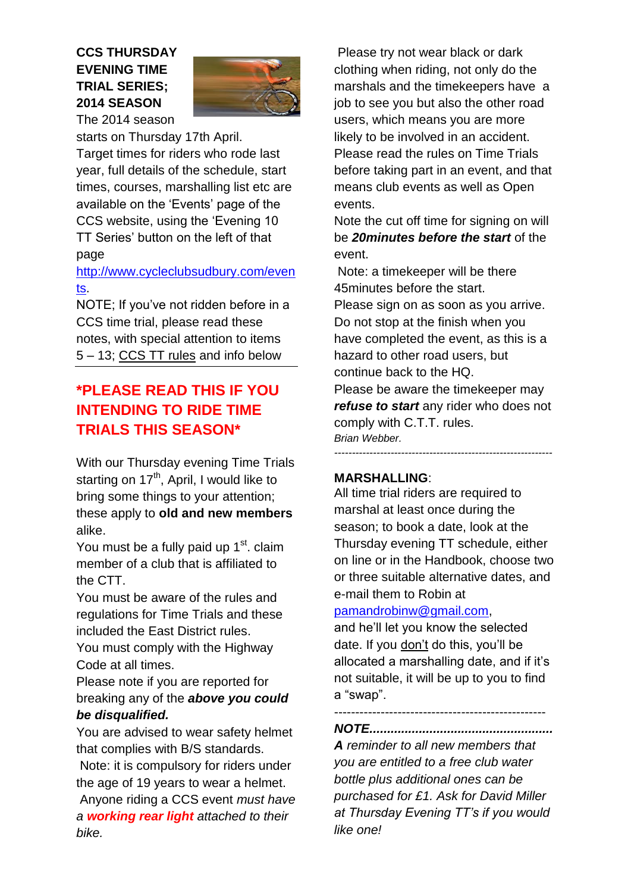# **CCS THURSDAY EVENING TIME TRIAL SERIES; 2014 SEASON**



The 2014 season starts on Thursday 17th April. Target times for riders who rode last

year, full details of the schedule, start times, courses, marshalling list etc are available on the 'Events' page of the CCS website, using the 'Evening 10 TT Series' button on the left of that page

# [http://www.cycleclubsudbury.com/even](http://www.cycleclubsudbury.com/events) [ts.](http://www.cycleclubsudbury.com/events)

NOTE; If you've not ridden before in a CCS time trial, please read these notes, with special attention to items 5 – 13; [CCS TT rules](http://www.cycleclubsudbury.com/events/tt/rules) and info below

# **\*PLEASE READ THIS IF YOU INTENDING TO RIDE TIME TRIALS THIS SEASON\***

With our Thursday evening Time Trials starting on  $17<sup>th</sup>$ , April, I would like to bring some things to your attention; these apply to **old and new members** alike.

You must be a fully paid up  $1<sup>st</sup>$ , claim member of a club that is affiliated to the CTT.

You must be aware of the rules and regulations for Time Trials and these included the East District rules.

You must comply with the Highway Code at all times.

Please note if you are reported for breaking any of the *above you could be disqualified.*

You are advised to wear safety helmet that complies with B/S standards.

Note: it is compulsory for riders under the age of 19 years to wear a helmet.

Anyone riding a CCS event *must have a working rear light attached to their bike.*

Please try not wear black or dark clothing when riding, not only do the marshals and the timekeepers have a job to see you but also the other road users, which means you are more likely to be involved in an accident. Please read the rules on Time Trials before taking part in an event, and that means club events as well as Open events.

Note the cut off time for signing on will be *20minutes before the start* of the event.

Note: a timekeeper will be there 45minutes before the start. Please sign on as soon as you arrive. Do not stop at the finish when you have completed the event, as this is a hazard to other road users, but continue back to the HQ.

Please be aware the timekeeper may *refuse to start* any rider who does not comply with C.T.T. rules. *Brian Webber.* 

*--------------------------------------------------------------*

### **MARSHALLING**:

All time trial riders are required to marshal at least once during the season; to book a date, look at the Thursday evening TT schedule, either on line or in the Handbook, choose two or three suitable alternative dates, and e-mail them to Robin at

#### [pamandrobinw@gmail.com,](mailto:pamandrobinw@gmail.com)

and he'll let you know the selected date. If you don't do this, you'll be allocated a marshalling date, and if it's not suitable, it will be up to you to find a "swap".

#### -------------------------------------------------- *NOTE....................................................*

*A reminder to all new members that you are entitled to a free club water bottle plus additional ones can be purchased for £1. Ask for David Miller at Thursday Evening TT's if you would like one!*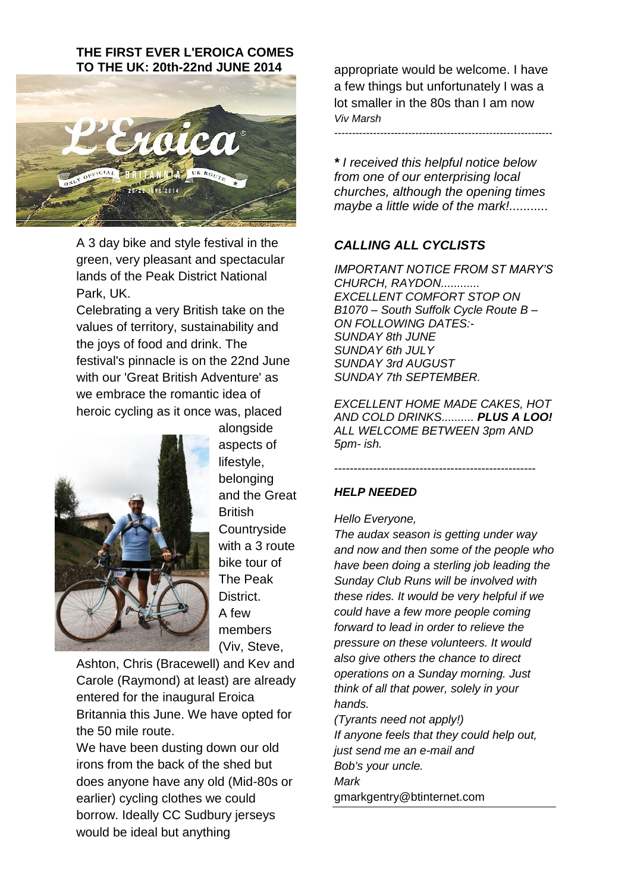#### **THE FIRST EVER L'EROICA COMES TO THE UK: 20th-22nd JUNE 2014**



A 3 day bike and style festival in the green, very pleasant and spectacular lands of the Peak District National Park, UK.

Celebrating a very British take on the values of territory, sustainability and the joys of food and drink. The festival's pinnacle is on the 22nd June with our 'Great British Adventure' as we embrace the romantic idea of heroic cycling as it once was, placed



alongside aspects of lifestyle, belonging and the Great **British Countryside** with a 3 route bike tour of The Peak **District.** A few members (Viv, Steve,

Ashton, Chris (Bracewell) and Kev and Carole (Raymond) at least) are already entered for the inaugural Eroica Britannia this June. We have opted for the 50 mile route.

We have been dusting down our old irons from the back of the shed but does anyone have any old (Mid-80s or earlier) cycling clothes we could borrow. Ideally CC Sudbury jerseys would be ideal but anything

appropriate would be welcome. I have a few things but unfortunately I was a lot smaller in the 80s than I am now *Viv Marsh*

*--------------------------------------------------------------*

*\* I received this helpful notice below from one of our enterprising local churches, although the opening times maybe a little wide of the mark!...........*

#### *CALLING ALL CYCLISTS*

*IMPORTANT NOTICE FROM ST MARY'S CHURCH, RAYDON............ EXCELLENT COMFORT STOP ON B1070 – South Suffolk Cycle Route B – ON FOLLOWING DATES:- SUNDAY 8th JUNE SUNDAY 6th JULY SUNDAY 3rd AUGUST SUNDAY 7th SEPTEMBER.*

*EXCELLENT HOME MADE CAKES, HOT AND COLD DRINKS.......... PLUS A LOO! ALL WELCOME BETWEEN 3pm AND 5pm- ish.*

----------------------------------------------------

#### *HELP NEEDED*

*Hello Everyone,*

*The audax season is getting under way and now and then some of the people who have been doing a sterling job leading the Sunday Club Runs will be involved with these rides. It would be very helpful if we could have a few more people coming forward to lead in order to relieve the pressure on these volunteers. It would also give others the chance to direct operations on a Sunday morning. Just think of all that power, solely in your hands.*

*(Tyrants need not apply!) If anyone feels that they could help out, just send me an e-mail and Bob's your uncle. Mark* gmarkgentry@btinternet.com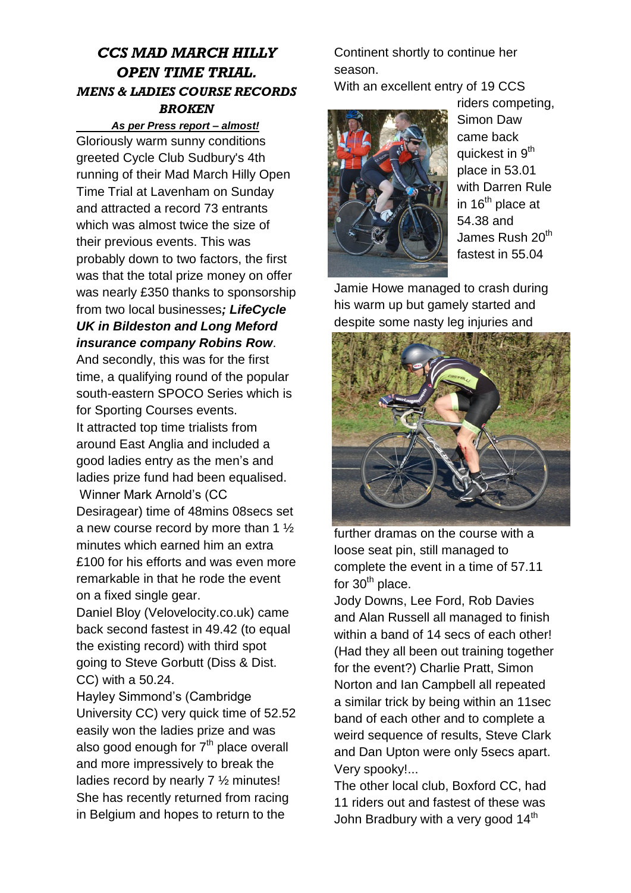# *CCS MAD MARCH HILLY OPEN TIME TRIAL. MENS & LADIES COURSE RECORDS BROKEN*

#### *As per Press report – almost!*

Gloriously warm sunny conditions greeted Cycle Club Sudbury's 4th running of their Mad March Hilly Open Time Trial at Lavenham on Sunday and attracted a record 73 entrants which was almost twice the size of their previous events. This was probably down to two factors, the first was that the total prize money on offer was nearly £350 thanks to sponsorship from two local businesses*; LifeCycle UK in Bildeston and Long Meford insurance company Robins Row*.

And secondly, this was for the first time, a qualifying round of the popular south-eastern SPOCO Series which is for Sporting Courses events. It attracted top time trialists from around East Anglia and included a good ladies entry as the men's and ladies prize fund had been equalised. Winner Mark Arnold's (CC Desiragear) time of 48mins 08secs set a new course record by more than 1 ½ minutes which earned him an extra £100 for his efforts and was even more remarkable in that he rode the event on a fixed single gear.

Daniel Bloy (Velovelocity.co.uk) came back second fastest in 49.42 (to equal the existing record) with third spot going to Steve Gorbutt (Diss & Dist. CC) with a 50.24.

Hayley Simmond's (Cambridge University CC) very quick time of 52.52 easily won the ladies prize and was also good enough for  $7<sup>th</sup>$  place overall and more impressively to break the ladies record by nearly 7 ½ minutes! She has recently returned from racing in Belgium and hopes to return to the

Continent shortly to continue her season.

With an excellent entry of 19 CCS



riders competing, Simon Daw came back quickest in 9<sup>th</sup> place in 53.01 with Darren Rule in  $16<sup>th</sup>$  place at 54.38 and James Rush 20<sup>th</sup> fastest in 55.04

Jamie Howe managed to crash during his warm up but gamely started and despite some nasty leg injuries and



further dramas on the course with a loose seat pin, still managed to complete the event in a time of 57.11 for  $30<sup>th</sup>$  place.

Jody Downs, Lee Ford, Rob Davies and Alan Russell all managed to finish within a band of 14 secs of each other! (Had they all been out training together for the event?) Charlie Pratt, Simon Norton and Ian Campbell all repeated a similar trick by being within an 11sec band of each other and to complete a weird sequence of results, Steve Clark and Dan Upton were only 5secs apart. Very spooky!...

The other local club, Boxford CC, had 11 riders out and fastest of these was John Bradbury with a very good  $14<sup>th</sup>$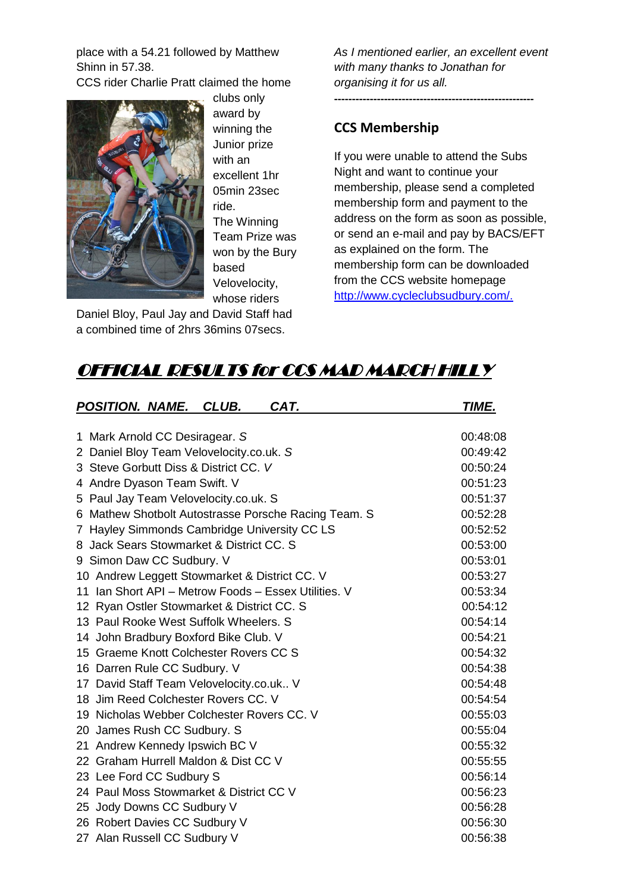place with a 54.21 followed by Matthew Shinn in 57.38.

CCS rider Charlie Pratt claimed the home



clubs only award by winning the Junior prize with an excellent 1hr 05min 23sec ride. The Winning Team Prize was won by the Bury based Velovelocity, whose riders

Daniel Bloy, Paul Jay and David Staff had a combined time of 2hrs 36mins 07secs.

*As I mentioned earlier, an excellent event with many thanks to Jonathan for organising it for us all.*

**--------------------------------------------------------**

## **CCS Membership**

If you were unable to attend the Subs Night and want to continue your membership, please send a completed membership form and payment to the address on the form as soon as possible, or send an e-mail and pay by BACS/EFT as explained on the form. The membership form can be downloaded from the CCS website homepage [http://www.cycleclubsudbury.com/.](http://www.cycleclubsudbury.com/)

# OFFICIAL RESULTS for CCS MAD MARCH HILLY

| POSITION. NAME. CLUB.                                | CAT.                                                 | TIME.    |
|------------------------------------------------------|------------------------------------------------------|----------|
|                                                      |                                                      |          |
| 1 Mark Arnold CC Desiragear. S                       |                                                      | 00:48:08 |
| 2 Daniel Bloy Team Velovelocity.co.uk. S             |                                                      | 00:49:42 |
| 3 Steve Gorbutt Diss & District CC. V                |                                                      | 00:50:24 |
| 4 Andre Dyason Team Swift. V                         |                                                      | 00:51:23 |
| 5 Paul Jay Team Velovelocity.co.uk. S                |                                                      | 00:51:37 |
|                                                      | 6 Mathew Shotbolt Autostrasse Porsche Racing Team. S | 00:52:28 |
| 7 Hayley Simmonds Cambridge University CC LS         |                                                      | 00:52:52 |
| 8 Jack Sears Stowmarket & District CC, S             |                                                      | 00:53:00 |
| 9 Simon Daw CC Sudbury. V                            |                                                      | 00:53:01 |
| 10 Andrew Leggett Stowmarket & District CC. V        |                                                      | 00:53:27 |
| 11 Ian Short API - Metrow Foods - Essex Utilities, V |                                                      | 00:53:34 |
| 12 Ryan Ostler Stowmarket & District CC. S           |                                                      | 00:54:12 |
| 13 Paul Rooke West Suffolk Wheelers, S               |                                                      | 00:54:14 |
| 14 John Bradbury Boxford Bike Club. V                |                                                      | 00:54:21 |
| 15 Graeme Knott Colchester Rovers CC S               |                                                      | 00:54:32 |
| 16 Darren Rule CC Sudbury. V                         |                                                      | 00:54:38 |
| 17 David Staff Team Velovelocity.co.uk V             |                                                      | 00:54:48 |
| 18 Jim Reed Colchester Rovers CC. V                  |                                                      | 00:54:54 |
| 19 Nicholas Webber Colchester Rovers CC, V           |                                                      | 00:55:03 |
| 20 James Rush CC Sudbury. S                          |                                                      | 00:55:04 |
| 21 Andrew Kennedy Ipswich BC V                       |                                                      | 00:55:32 |
| 22 Graham Hurrell Maldon & Dist CC V                 |                                                      | 00:55:55 |
| 23 Lee Ford CC Sudbury S                             |                                                      | 00:56:14 |
| 24 Paul Moss Stowmarket & District CC V              |                                                      | 00:56:23 |
| 25 Jody Downs CC Sudbury V                           |                                                      | 00:56:28 |
| 26 Robert Davies CC Sudbury V                        |                                                      | 00:56:30 |
| 27 Alan Russell CC Sudbury V                         |                                                      | 00:56:38 |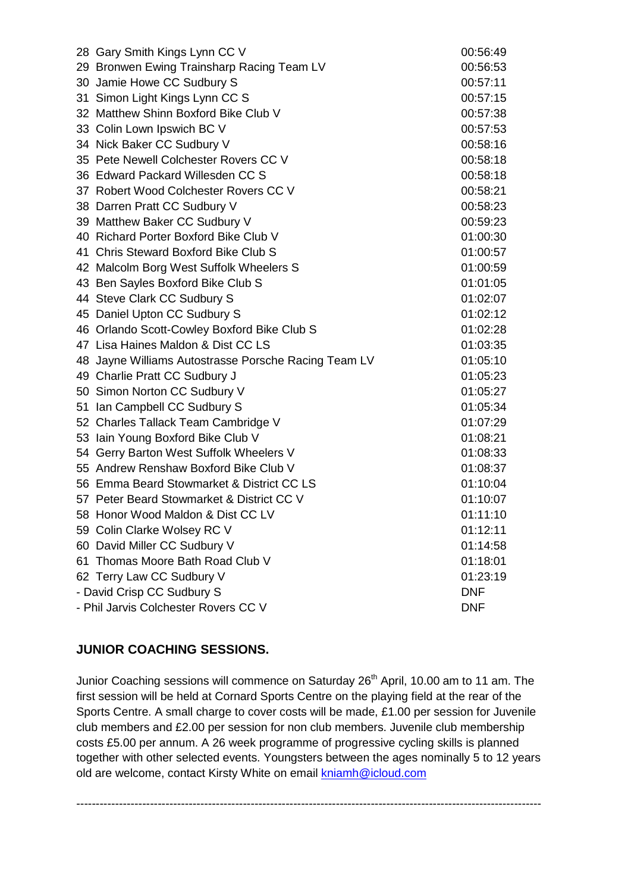|                                          | 28 Gary Smith Kings Lynn CC V                        | 00:56:49 |  |
|------------------------------------------|------------------------------------------------------|----------|--|
|                                          | 29 Bronwen Ewing Trainsharp Racing Team LV           |          |  |
|                                          | 30 Jamie Howe CC Sudbury S                           |          |  |
|                                          | 31 Simon Light Kings Lynn CC S                       | 00:57:15 |  |
|                                          | 32 Matthew Shinn Boxford Bike Club V                 |          |  |
|                                          | 33 Colin Lown Ipswich BC V                           |          |  |
|                                          | 34 Nick Baker CC Sudbury V                           | 00:58:16 |  |
|                                          | 35 Pete Newell Colchester Rovers CC V                |          |  |
|                                          | 36 Edward Packard Willesden CC S                     |          |  |
|                                          | 37 Robert Wood Colchester Rovers CC V                | 00:58:21 |  |
|                                          | 38 Darren Pratt CC Sudbury V                         |          |  |
|                                          | 39 Matthew Baker CC Sudbury V                        |          |  |
|                                          | 40 Richard Porter Boxford Bike Club V                | 01:00:30 |  |
|                                          | 41 Chris Steward Boxford Bike Club S                 | 01:00:57 |  |
|                                          | 42 Malcolm Borg West Suffolk Wheelers S              | 01:00:59 |  |
|                                          | 43 Ben Sayles Boxford Bike Club S                    | 01:01:05 |  |
|                                          | 44 Steve Clark CC Sudbury S                          | 01:02:07 |  |
|                                          | 45 Daniel Upton CC Sudbury S                         | 01:02:12 |  |
|                                          | 46 Orlando Scott-Cowley Boxford Bike Club S          | 01:02:28 |  |
|                                          | 47 Lisa Haines Maldon & Dist CC LS                   | 01:03:35 |  |
|                                          | 48 Jayne Williams Autostrasse Porsche Racing Team LV | 01:05:10 |  |
|                                          | 49 Charlie Pratt CC Sudbury J                        | 01:05:23 |  |
|                                          | 50 Simon Norton CC Sudbury V                         | 01:05:27 |  |
|                                          | 51 Ian Campbell CC Sudbury S                         | 01:05:34 |  |
|                                          | 52 Charles Tallack Team Cambridge V                  | 01:07:29 |  |
|                                          | 53 Iain Young Boxford Bike Club V                    | 01:08:21 |  |
|                                          | 54 Gerry Barton West Suffolk Wheelers V              | 01:08:33 |  |
|                                          | 55 Andrew Renshaw Boxford Bike Club V                | 01:08:37 |  |
|                                          | 56 Emma Beard Stowmarket & District CC LS            | 01:10:04 |  |
|                                          | 57 Peter Beard Stowmarket & District CC V            | 01:10:07 |  |
|                                          | 58 Honor Wood Maldon & Dist CC LV                    | 01:11:10 |  |
|                                          | 59 Colin Clarke Wolsey RC V                          | 01:12:11 |  |
|                                          | 60 David Miller CC Sudbury V                         | 01:14:58 |  |
|                                          | 61 Thomas Moore Bath Road Club V                     | 01:18:01 |  |
|                                          | 62 Terry Law CC Sudbury V                            | 01:23:19 |  |
| - David Crisp CC Sudbury S<br><b>DNF</b> |                                                      |          |  |
| - Phil Jarvis Colchester Rovers CC V     |                                                      |          |  |

#### **JUNIOR COACHING SESSIONS.**

Junior Coaching sessions will commence on Saturday 26<sup>th</sup> April, 10.00 am to 11 am. The first session will be held at Cornard Sports Centre on the playing field at the rear of the Sports Centre. A small charge to cover costs will be made, £1.00 per session for Juvenile club members and £2.00 per session for non club members. Juvenile club membership costs £5.00 per annum. A 26 week programme of progressive cycling skills is planned together with other selected events. Youngsters between the ages nominally 5 to 12 years old are welcome, contact Kirsty White on email [kniamh@icloud.com](mailto:kniamh@icloud.com)

------------------------------------------------------------------------------------------------------------------------